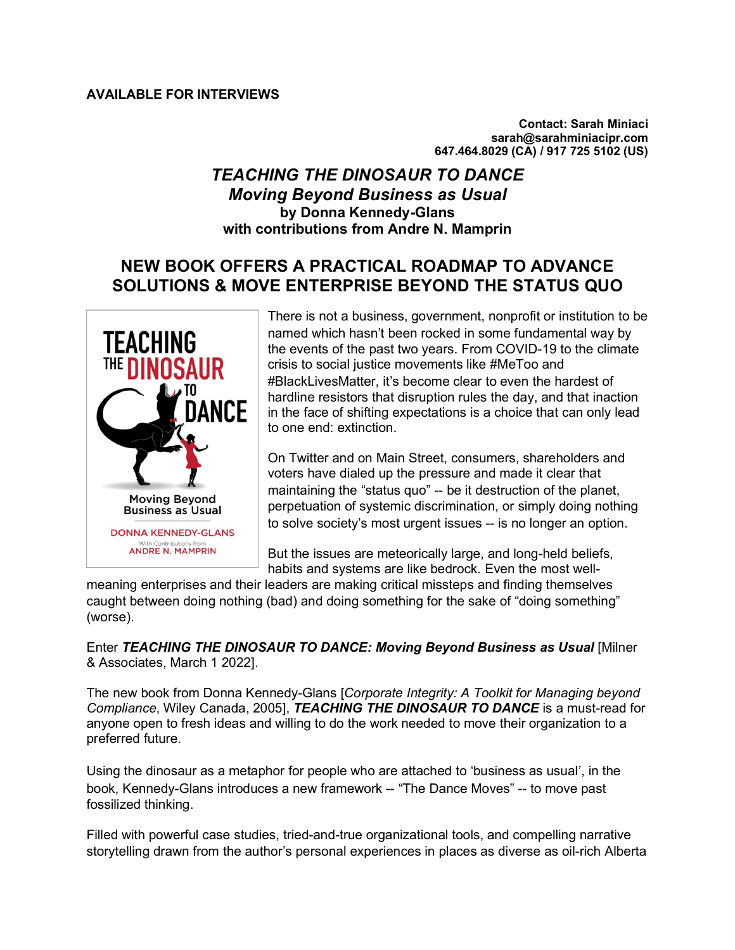**Contact: Sarah Miniaci sarah@sarahminiacipr.com 647.464.8029 (CA) / 917 725 5102 (US)**

## *TEACHING THE DINOSAUR TO DANCE Moving Beyond Business as Usual* **by Donna Kennedy-Glans with contributions from Andre N. Mamprin**

# **NEW BOOK OFFERS A PRACTICAL ROADMAP TO ADVANCE SOLUTIONS & MOVE ENTERPRISE BEYOND THE STATUS QUO**



There is not a business, government, nonprofit or institution to be named which hasn't been rocked in some fundamental way by the events of the past two years. From COVID-19 to the climate crisis to social justice movements like #MeToo and #BlackLivesMatter, it's become clear to even the hardest of hardline resistors that disruption rules the day, and that inaction in the face of shifting expectations is a choice that can only lead to one end: extinction.

On Twitter and on Main Street, consumers, shareholders and voters have dialed up the pressure and made it clear that maintaining the "status quo" -- be it destruction of the planet, perpetuation of systemic discrimination, or simply doing nothing to solve society's most urgent issues -- is no longer an option.

But the issues are meteorically large, and long-held beliefs, habits and systems are like bedrock. Even the most well-

meaning enterprises and their leaders are making critical missteps and finding themselves caught between doing nothing (bad) and doing something for the sake of "doing something" (worse).

Enter *TEACHING THE DINOSAUR TO DANCE: Moving Beyond Business as Usual* [Milner & Associates, March 1 2022].

The new book from Donna Kennedy-Glans [*Corporate Integrity: A Toolkit for Managing beyond Compliance*, Wiley Canada, 2005], *TEACHING THE DINOSAUR TO DANCE* is a must-read for anyone open to fresh ideas and willing to do the work needed to move their organization to a preferred future.

Using the dinosaur as a metaphor for people who are attached to 'business as usual', in the book, Kennedy-Glans introduces a new framework -- "The Dance Moves" -- to move past fossilized thinking.

Filled with powerful case studies, tried-and-true organizational tools, and compelling narrative storytelling drawn from the author's personal experiences in places as diverse as oil-rich Alberta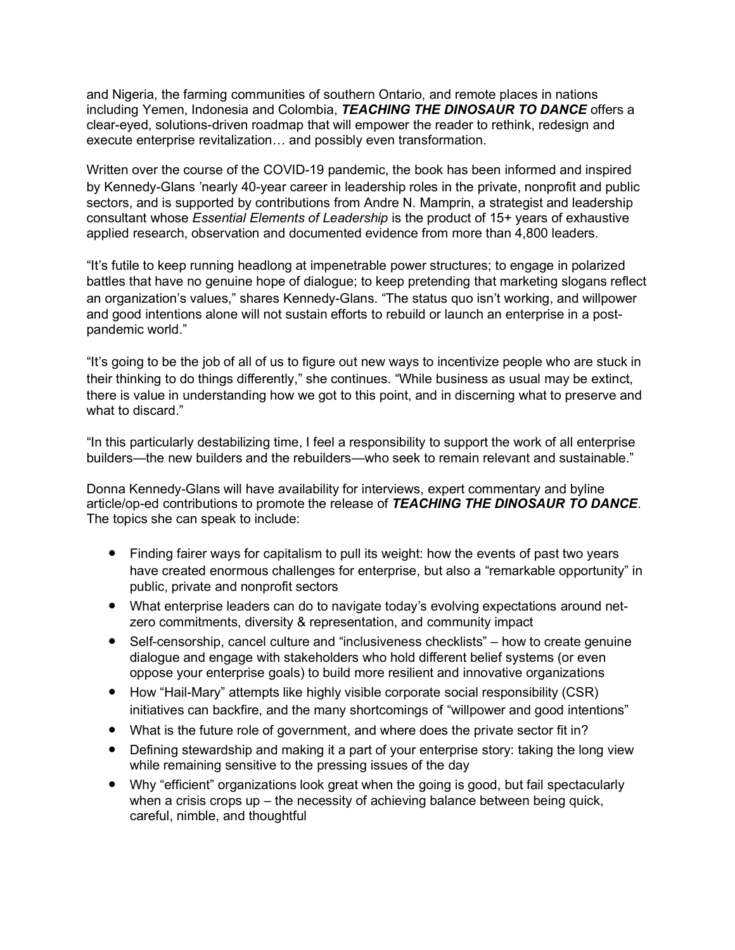and Nigeria, the farming communities of southern Ontario, and remote places in nations including Yemen, Indonesia and Colombia, *TEACHING THE DINOSAUR TO DANCE* offers a clear-eyed, solutions-driven roadmap that will empower the reader to rethink, redesign and execute enterprise revitalization… and possibly even transformation.

Written over the course of the COVID-19 pandemic, the book has been informed and inspired by Kennedy-Glans 'nearly 40-year career in leadership roles in the private, nonprofit and public sectors, and is supported by contributions from Andre N. Mamprin, a strategist and leadership consultant whose *Essential Elements of Leadership* is the product of 15+ years of exhaustive applied research, observation and documented evidence from more than 4,800 leaders.

"It's futile to keep running headlong at impenetrable power structures; to engage in polarized battles that have no genuine hope of dialogue; to keep pretending that marketing slogans reflect an organization's values," shares Kennedy-Glans. "The status quo isn't working, and willpower and good intentions alone will not sustain efforts to rebuild or launch an enterprise in a postpandemic world."

"It's going to be the job of all of us to figure out new ways to incentivize people who are stuck in their thinking to do things differently," she continues. "While business as usual may be extinct, there is value in understanding how we got to this point, and in discerning what to preserve and what to discard."

"In this particularly destabilizing time, I feel a responsibility to support the work of all enterprise builders—the new builders and the rebuilders—who seek to remain relevant and sustainable."

Donna Kennedy-Glans will have availability for interviews, expert commentary and byline article/op-ed contributions to promote the release of *TEACHING THE DINOSAUR TO DANCE*. The topics she can speak to include:

- Finding fairer ways for capitalism to pull its weight: how the events of past two years have created enormous challenges for enterprise, but also a "remarkable opportunity" in public, private and nonprofit sectors
- What enterprise leaders can do to navigate today's evolving expectations around netzero commitments, diversity & representation, and community impact
- Self-censorship, cancel culture and "inclusiveness checklists" how to create genuine dialogue and engage with stakeholders who hold different belief systems (or even oppose your enterprise goals) to build more resilient and innovative organizations
- How "Hail-Mary" attempts like highly visible corporate social responsibility (CSR) initiatives can backfire, and the many shortcomings of "willpower and good intentions"
- What is the future role of government, and where does the private sector fit in?
- Defining stewardship and making it a part of your enterprise story: taking the long view while remaining sensitive to the pressing issues of the day
- Why "efficient" organizations look great when the going is good, but fail spectacularly when a crisis crops up – the necessity of achieving balance between being quick, careful, nimble, and thoughtful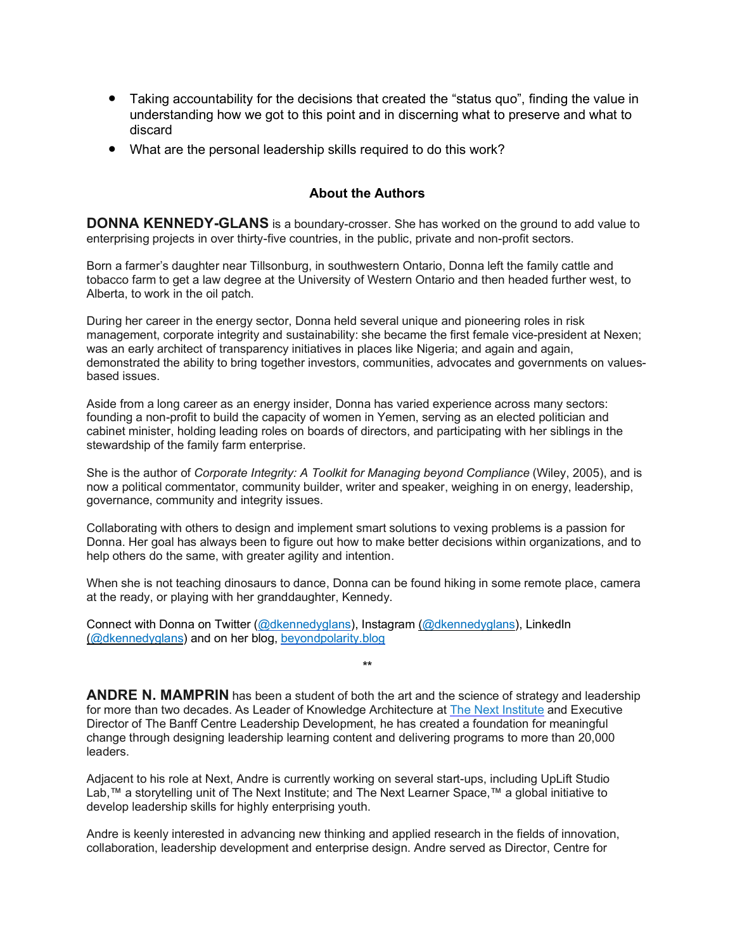- Taking accountability for the decisions that created the "status quo", finding the value in understanding how we got to this point and in discerning what to preserve and what to discard
- What are the personal leadership skills required to do this work?

### **About the Authors**

**DONNA KENNEDY-GLANS** is a boundary-crosser. She has worked on the ground to add value to enterprising projects in over thirty-five countries, in the public, private and non-profit sectors.

Born a farmer's daughter near Tillsonburg, in southwestern Ontario, Donna left the family cattle and tobacco farm to get a law degree at the University of Western Ontario and then headed further west, to Alberta, to work in the oil patch.

During her career in the energy sector, Donna held several unique and pioneering roles in risk management, corporate integrity and sustainability: she became the first female vice-president at Nexen; was an early architect of transparency initiatives in places like Nigeria; and again and again, demonstrated the ability to bring together investors, communities, advocates and governments on valuesbased issues.

Aside from a long career as an energy insider, Donna has varied experience across many sectors: founding a non-profit to build the capacity of women in Yemen, serving as an elected politician and cabinet minister, holding leading roles on boards of directors, and participating with her siblings in the stewardship of the family farm enterprise.

She is the author of *Corporate Integrity: A Toolkit for Managing beyond Compliance* (Wiley, 2005), and is now a political commentator, community builder, writer and speaker, weighing in on energy, leadership, governance, community and integrity issues.

Collaborating with others to design and implement smart solutions to vexing problems is a passion for Donna. Her goal has always been to figure out how to make better decisions within organizations, and to help others do the same, with greater agility and intention.

When she is not teaching dinosaurs to dance, Donna can be found hiking in some remote place, camera at the ready, or playing with her granddaughter, Kennedy.

Connect with Donna on Twitter (@dkennedyglans), Instagram (@dkennedyglans), LinkedIn (@dkennedyglans) and on her blog, beyondpolarity.blog

**ANDRE N. MAMPRIN** has been a student of both the art and the science of strategy and leadership for more than two decades. As Leader of Knowledge Architecture at The Next Institute and Executive Director of The Banff Centre Leadership Development, he has created a foundation for meaningful change through designing leadership learning content and delivering programs to more than 20,000 leaders.

**\*\***

Adjacent to his role at Next, Andre is currently working on several start-ups, including UpLift Studio Lab,™ a storytelling unit of The Next Institute; and The Next Learner Space,™ a global initiative to develop leadership skills for highly enterprising youth.

Andre is keenly interested in advancing new thinking and applied research in the fields of innovation, collaboration, leadership development and enterprise design. Andre served as Director, Centre for